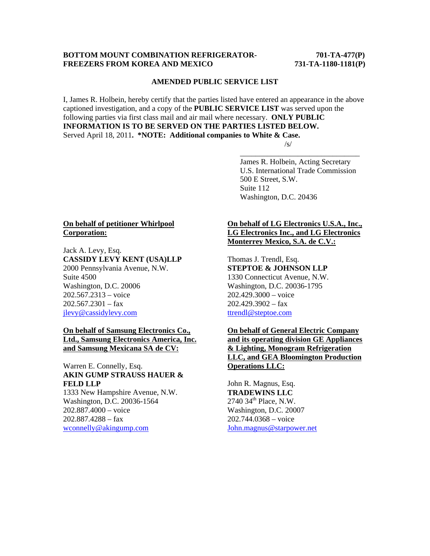#### **BOTTOM MOUNT COMBINATION REFRIGERATOR-** 701-TA-477(P) **FREEZERS FROM KOREA AND MEXICO 731-TA-1180-1181(P)**

#### **AMENDED PUBLIC SERVICE LIST**

I, James R. Holbein, hereby certify that the parties listed have entered an appearance in the above captioned investigation, and a copy of the **PUBLIC SERVICE LIST** was served upon the following parties via first class mail and air mail where necessary. **ONLY PUBLIC INFORMATION IS TO BE SERVED ON THE PARTIES LISTED BELOW.**  Served April 18, 2011**. \*NOTE: Additional companies to White & Case.**   $\sqrt{s}$ /s/

 $\overline{\phantom{a}}$  , and the contract of the contract of the contract of the contract of the contract of the contract of the contract of the contract of the contract of the contract of the contract of the contract of the contrac

 James R. Holbein, Acting Secretary U.S. International Trade Commission 500 E Street, S.W. Suite 112 Washington, D.C. 20436

### **On behalf of petitioner Whirlpool Corporation:**

Jack A. Levy, Esq. **CASSIDY LEVY KENT (USA)LLP**  2000 Pennsylvania Avenue, N.W. Suite 4500 Washington, D.C. 20006 202.567.2313 – voice  $202.567.2301 - \text{fax}$ jlevy@cassidylevy.com

### **On behalf of Samsung Electronics Co., Ltd., Samsung Electronics America, Inc. and Samsung Mexicana SA de CV:**

# Warren E. Connelly, Esq. **AKIN GUMP STRAUSS HAUER & FELD LLP**

1333 New Hampshire Avenue, N.W. Washington, D.C. 20036-1564 202.887.4000 – voice 202.887.4288 – fax wconnelly@akingump.com

## **On behalf of LG Electronics U.S.A., Inc., LG Electronics Inc., and LG Electronics Monterrey Mexico, S.A. de C.V.:**

Thomas J. Trendl, Esq. **STEPTOE & JOHNSON LLP** 1330 Connecticut Avenue, N.W. Washington, D.C. 20036-1795 202.429.3000 – voice  $202.429.3902 - fax$ ttrendl@steptoe.com

# **On behalf of General Electric Company and its operating division GE Appliances & Lighting, Monogram Refrigeration LLC, and GEA Bloomington Production Operations LLC:**

John R. Magnus, Esq. **TRADEWINS LLC**  $2740$  34<sup>th</sup> Place, N.W. Washington, D.C. 20007 202.744.0368 – voice John.magnus@starpower.net